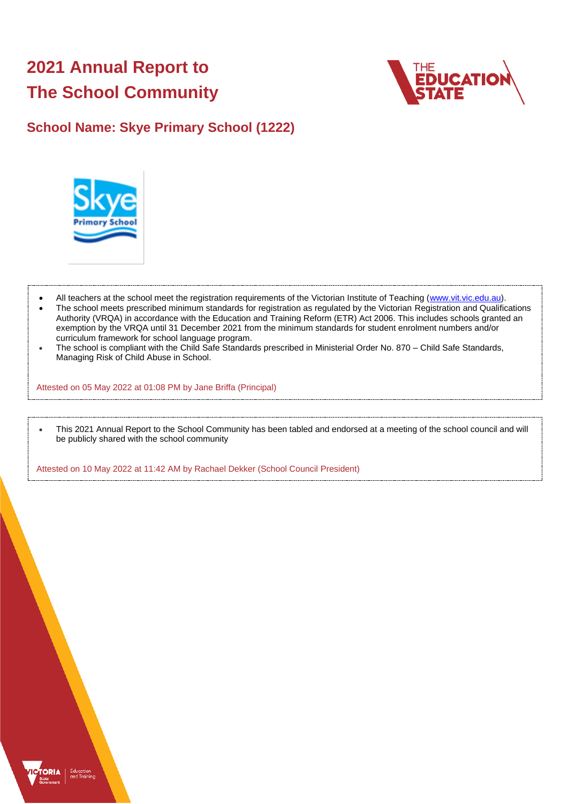# **2021 Annual Report to The School Community**



# **School Name: Skye Primary School (1222)**



- All teachers at the school meet the registration requirements of the Victorian Institute of Teaching [\(www.vit.vic.edu.au\)](https://www.vit.vic.edu.au/).
- The school meets prescribed minimum standards for registration as regulated by the Victorian Registration and Qualifications Authority (VRQA) in accordance with the Education and Training Reform (ETR) Act 2006. This includes schools granted an exemption by the VRQA until 31 December 2021 from the minimum standards for student enrolment numbers and/or curriculum framework for school language program.
- The school is compliant with the Child Safe Standards prescribed in Ministerial Order No. 870 Child Safe Standards, Managing Risk of Child Abuse in School.

Attested on 05 May 2022 at 01:08 PM by Jane Briffa (Principal)

• This 2021 Annual Report to the School Community has been tabled and endorsed at a meeting of the school council and will be publicly shared with the school community

Attested on 10 May 2022 at 11:42 AM by Rachael Dekker (School Council President)

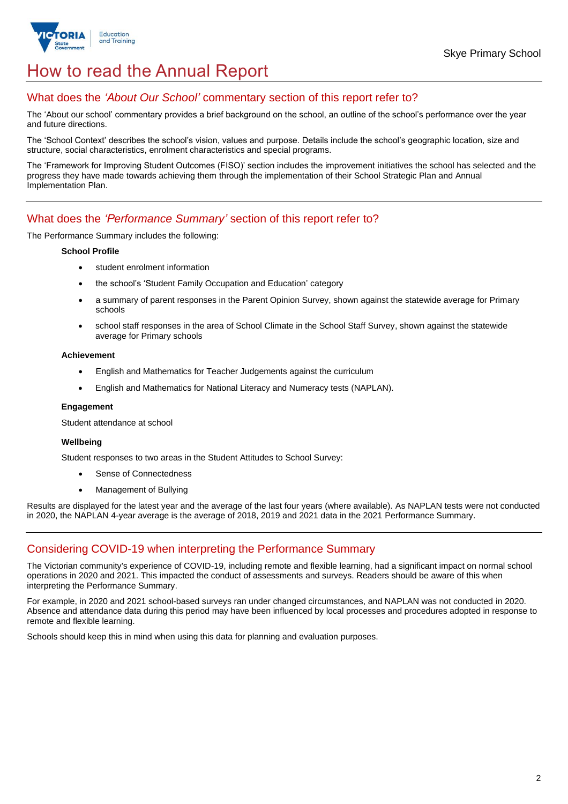

# How to read the Annual Report

## What does the *'About Our School'* commentary section of this report refer to?

The 'About our school' commentary provides a brief background on the school, an outline of the school's performance over the year and future directions.

The 'School Context' describes the school's vision, values and purpose. Details include the school's geographic location, size and structure, social characteristics, enrolment characteristics and special programs.

The 'Framework for Improving Student Outcomes (FISO)' section includes the improvement initiatives the school has selected and the progress they have made towards achieving them through the implementation of their School Strategic Plan and Annual Implementation Plan.

## What does the *'Performance Summary'* section of this report refer to?

The Performance Summary includes the following:

#### **School Profile**

- student enrolment information
- the school's 'Student Family Occupation and Education' category
- a summary of parent responses in the Parent Opinion Survey, shown against the statewide average for Primary schools
- school staff responses in the area of School Climate in the School Staff Survey, shown against the statewide average for Primary schools

#### **Achievement**

- English and Mathematics for Teacher Judgements against the curriculum
- English and Mathematics for National Literacy and Numeracy tests (NAPLAN).

### **Engagement**

Student attendance at school

## **Wellbeing**

Student responses to two areas in the Student Attitudes to School Survey:

- Sense of Connectedness
- Management of Bullying

Results are displayed for the latest year and the average of the last four years (where available). As NAPLAN tests were not conducted in 2020, the NAPLAN 4-year average is the average of 2018, 2019 and 2021 data in the 2021 Performance Summary.

## Considering COVID-19 when interpreting the Performance Summary

The Victorian community's experience of COVID-19, including remote and flexible learning, had a significant impact on normal school operations in 2020 and 2021. This impacted the conduct of assessments and surveys. Readers should be aware of this when interpreting the Performance Summary.

For example, in 2020 and 2021 school-based surveys ran under changed circumstances, and NAPLAN was not conducted in 2020. Absence and attendance data during this period may have been influenced by local processes and procedures adopted in response to remote and flexible learning.

Schools should keep this in mind when using this data for planning and evaluation purposes.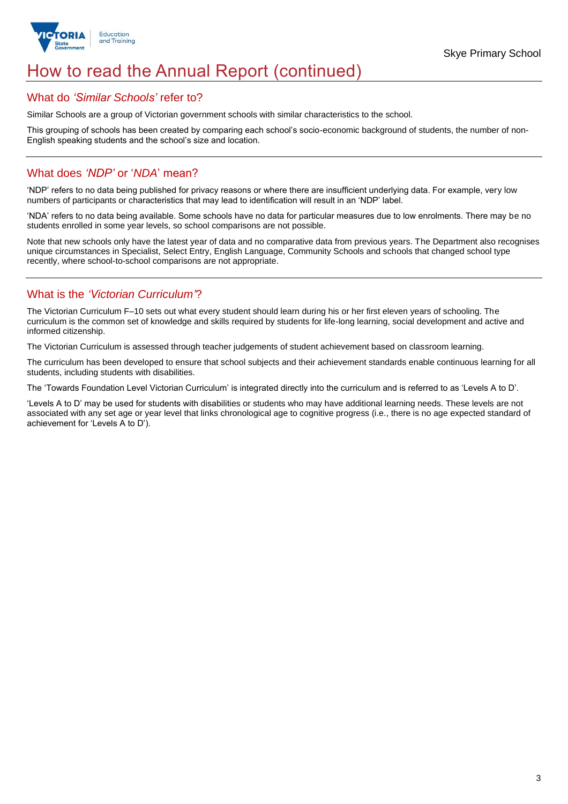

# How to read the Annual Report (continued)

## What do *'Similar Schools'* refer to?

Similar Schools are a group of Victorian government schools with similar characteristics to the school.

This grouping of schools has been created by comparing each school's socio-economic background of students, the number of non-English speaking students and the school's size and location.

## What does *'NDP'* or '*NDA*' mean?

'NDP' refers to no data being published for privacy reasons or where there are insufficient underlying data. For example, very low numbers of participants or characteristics that may lead to identification will result in an 'NDP' label.

'NDA' refers to no data being available. Some schools have no data for particular measures due to low enrolments. There may be no students enrolled in some year levels, so school comparisons are not possible.

Note that new schools only have the latest year of data and no comparative data from previous years. The Department also recognises unique circumstances in Specialist, Select Entry, English Language, Community Schools and schools that changed school type recently, where school-to-school comparisons are not appropriate.

## What is the *'Victorian Curriculum'*?

The Victorian Curriculum F–10 sets out what every student should learn during his or her first eleven years of schooling. The curriculum is the common set of knowledge and skills required by students for life-long learning, social development and active and informed citizenship.

The Victorian Curriculum is assessed through teacher judgements of student achievement based on classroom learning.

The curriculum has been developed to ensure that school subjects and their achievement standards enable continuous learning for all students, including students with disabilities.

The 'Towards Foundation Level Victorian Curriculum' is integrated directly into the curriculum and is referred to as 'Levels A to D'.

'Levels A to D' may be used for students with disabilities or students who may have additional learning needs. These levels are not associated with any set age or year level that links chronological age to cognitive progress (i.e., there is no age expected standard of achievement for 'Levels A to D').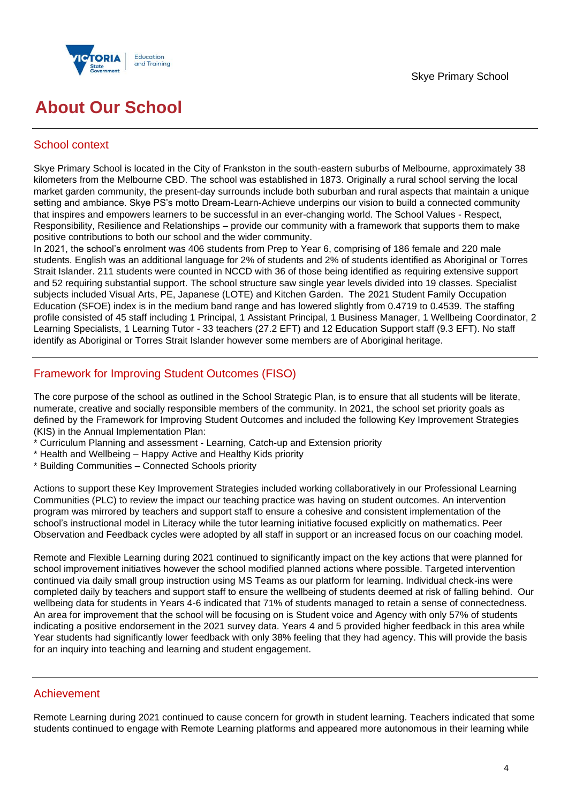

# **About Our School**

## School context

Skye Primary School is located in the City of Frankston in the south-eastern suburbs of Melbourne, approximately 38 kilometers from the Melbourne CBD. The school was established in 1873. Originally a rural school serving the local market garden community, the present-day surrounds include both suburban and rural aspects that maintain a unique setting and ambiance. Skye PS's motto Dream-Learn-Achieve underpins our vision to build a connected community that inspires and empowers learners to be successful in an ever-changing world. The School Values - Respect, Responsibility, Resilience and Relationships – provide our community with a framework that supports them to make positive contributions to both our school and the wider community.

In 2021, the school's enrolment was 406 students from Prep to Year 6, comprising of 186 female and 220 male students. English was an additional language for 2% of students and 2% of students identified as Aboriginal or Torres Strait Islander. 211 students were counted in NCCD with 36 of those being identified as requiring extensive support and 52 requiring substantial support. The school structure saw single year levels divided into 19 classes. Specialist subjects included Visual Arts, PE, Japanese (LOTE) and Kitchen Garden. The 2021 Student Family Occupation Education (SFOE) index is in the medium band range and has lowered slightly from 0.4719 to 0.4539. The staffing profile consisted of 45 staff including 1 Principal, 1 Assistant Principal, 1 Business Manager, 1 Wellbeing Coordinator, 2 Learning Specialists, 1 Learning Tutor - 33 teachers (27.2 EFT) and 12 Education Support staff (9.3 EFT). No staff identify as Aboriginal or Torres Strait Islander however some members are of Aboriginal heritage.

## Framework for Improving Student Outcomes (FISO)

The core purpose of the school as outlined in the School Strategic Plan, is to ensure that all students will be literate, numerate, creative and socially responsible members of the community. In 2021, the school set priority goals as defined by the Framework for Improving Student Outcomes and included the following Key Improvement Strategies (KIS) in the Annual Implementation Plan:

- \* Curriculum Planning and assessment Learning, Catch-up and Extension priority
- \* Health and Wellbeing Happy Active and Healthy Kids priority
- \* Building Communities Connected Schools priority

Actions to support these Key Improvement Strategies included working collaboratively in our Professional Learning Communities (PLC) to review the impact our teaching practice was having on student outcomes. An intervention program was mirrored by teachers and support staff to ensure a cohesive and consistent implementation of the school's instructional model in Literacy while the tutor learning initiative focused explicitly on mathematics. Peer Observation and Feedback cycles were adopted by all staff in support or an increased focus on our coaching model.

Remote and Flexible Learning during 2021 continued to significantly impact on the key actions that were planned for school improvement initiatives however the school modified planned actions where possible. Targeted intervention continued via daily small group instruction using MS Teams as our platform for learning. Individual check-ins were completed daily by teachers and support staff to ensure the wellbeing of students deemed at risk of falling behind. Our wellbeing data for students in Years 4-6 indicated that 71% of students managed to retain a sense of connectedness. An area for improvement that the school will be focusing on is Student voice and Agency with only 57% of students indicating a positive endorsement in the 2021 survey data. Years 4 and 5 provided higher feedback in this area while Year students had significantly lower feedback with only 38% feeling that they had agency. This will provide the basis for an inquiry into teaching and learning and student engagement.

## Achievement

Remote Learning during 2021 continued to cause concern for growth in student learning. Teachers indicated that some students continued to engage with Remote Learning platforms and appeared more autonomous in their learning while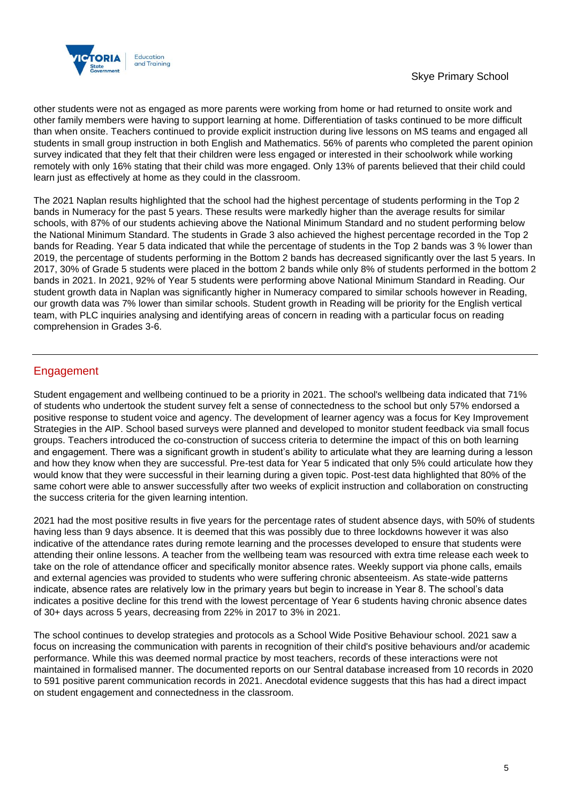

other students were not as engaged as more parents were working from home or had returned to onsite work and other family members were having to support learning at home. Differentiation of tasks continued to be more difficult than when onsite. Teachers continued to provide explicit instruction during live lessons on MS teams and engaged all students in small group instruction in both English and Mathematics. 56% of parents who completed the parent opinion survey indicated that they felt that their children were less engaged or interested in their schoolwork while working remotely with only 16% stating that their child was more engaged. Only 13% of parents believed that their child could learn just as effectively at home as they could in the classroom.

The 2021 Naplan results highlighted that the school had the highest percentage of students performing in the Top 2 bands in Numeracy for the past 5 years. These results were markedly higher than the average results for similar schools, with 87% of our students achieving above the National Minimum Standard and no student performing below the National Minimum Standard. The students in Grade 3 also achieved the highest percentage recorded in the Top 2 bands for Reading. Year 5 data indicated that while the percentage of students in the Top 2 bands was 3 % lower than 2019, the percentage of students performing in the Bottom 2 bands has decreased significantly over the last 5 years. In 2017, 30% of Grade 5 students were placed in the bottom 2 bands while only 8% of students performed in the bottom 2 bands in 2021. In 2021, 92% of Year 5 students were performing above National Minimum Standard in Reading. Our student growth data in Naplan was significantly higher in Numeracy compared to similar schools however in Reading, our growth data was 7% lower than similar schools. Student growth in Reading will be priority for the English vertical team, with PLC inquiries analysing and identifying areas of concern in reading with a particular focus on reading comprehension in Grades 3-6.

# **Engagement**

Student engagement and wellbeing continued to be a priority in 2021. The school's wellbeing data indicated that 71% of students who undertook the student survey felt a sense of connectedness to the school but only 57% endorsed a positive response to student voice and agency. The development of learner agency was a focus for Key Improvement Strategies in the AIP. School based surveys were planned and developed to monitor student feedback via small focus groups. Teachers introduced the co-construction of success criteria to determine the impact of this on both learning and engagement. There was a significant growth in student's ability to articulate what they are learning during a lesson and how they know when they are successful. Pre-test data for Year 5 indicated that only 5% could articulate how they would know that they were successful in their learning during a given topic. Post-test data highlighted that 80% of the same cohort were able to answer successfully after two weeks of explicit instruction and collaboration on constructing the success criteria for the given learning intention.

2021 had the most positive results in five years for the percentage rates of student absence days, with 50% of students having less than 9 days absence. It is deemed that this was possibly due to three lockdowns however it was also indicative of the attendance rates during remote learning and the processes developed to ensure that students were attending their online lessons. A teacher from the wellbeing team was resourced with extra time release each week to take on the role of attendance officer and specifically monitor absence rates. Weekly support via phone calls, emails and external agencies was provided to students who were suffering chronic absenteeism. As state-wide patterns indicate, absence rates are relatively low in the primary years but begin to increase in Year 8. The school's data indicates a positive decline for this trend with the lowest percentage of Year 6 students having chronic absence dates of 30+ days across 5 years, decreasing from 22% in 2017 to 3% in 2021.

The school continues to develop strategies and protocols as a School Wide Positive Behaviour school. 2021 saw a focus on increasing the communication with parents in recognition of their child's positive behaviours and/or academic performance. While this was deemed normal practice by most teachers, records of these interactions were not maintained in formalised manner. The documented reports on our Sentral database increased from 10 records in 2020 to 591 positive parent communication records in 2021. Anecdotal evidence suggests that this has had a direct impact on student engagement and connectedness in the classroom.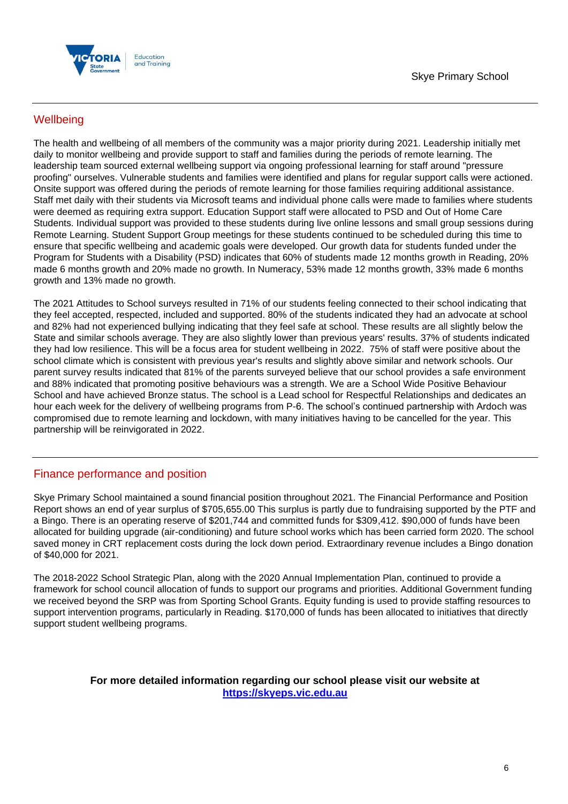

# **Wellbeing**

The health and wellbeing of all members of the community was a major priority during 2021. Leadership initially met daily to monitor wellbeing and provide support to staff and families during the periods of remote learning. The leadership team sourced external wellbeing support via ongoing professional learning for staff around "pressure proofing" ourselves. Vulnerable students and families were identified and plans for regular support calls were actioned. Onsite support was offered during the periods of remote learning for those families requiring additional assistance. Staff met daily with their students via Microsoft teams and individual phone calls were made to families where students were deemed as requiring extra support. Education Support staff were allocated to PSD and Out of Home Care Students. Individual support was provided to these students during live online lessons and small group sessions during Remote Learning. Student Support Group meetings for these students continued to be scheduled during this time to ensure that specific wellbeing and academic goals were developed. Our growth data for students funded under the Program for Students with a Disability (PSD) indicates that 60% of students made 12 months growth in Reading, 20% made 6 months growth and 20% made no growth. In Numeracy, 53% made 12 months growth, 33% made 6 months growth and 13% made no growth.

The 2021 Attitudes to School surveys resulted in 71% of our students feeling connected to their school indicating that they feel accepted, respected, included and supported. 80% of the students indicated they had an advocate at school and 82% had not experienced bullying indicating that they feel safe at school. These results are all slightly below the State and similar schools average. They are also slightly lower than previous years' results. 37% of students indicated they had low resilience. This will be a focus area for student wellbeing in 2022. 75% of staff were positive about the school climate which is consistent with previous year's results and slightly above similar and network schools. Our parent survey results indicated that 81% of the parents surveyed believe that our school provides a safe environment and 88% indicated that promoting positive behaviours was a strength. We are a School Wide Positive Behaviour School and have achieved Bronze status. The school is a Lead school for Respectful Relationships and dedicates an hour each week for the delivery of wellbeing programs from P-6. The school's continued partnership with Ardoch was compromised due to remote learning and lockdown, with many initiatives having to be cancelled for the year. This partnership will be reinvigorated in 2022.

# Finance performance and position

Skye Primary School maintained a sound financial position throughout 2021. The Financial Performance and Position Report shows an end of year surplus of \$705,655.00 This surplus is partly due to fundraising supported by the PTF and a Bingo. There is an operating reserve of \$201,744 and committed funds for \$309,412. \$90,000 of funds have been allocated for building upgrade (air-conditioning) and future school works which has been carried form 2020. The school saved money in CRT replacement costs during the lock down period. Extraordinary revenue includes a Bingo donation of \$40,000 for 2021.

The 2018-2022 School Strategic Plan, along with the 2020 Annual Implementation Plan, continued to provide a framework for school council allocation of funds to support our programs and priorities. Additional Government funding we received beyond the SRP was from Sporting School Grants. Equity funding is used to provide staffing resources to support intervention programs, particularly in Reading. \$170,000 of funds has been allocated to initiatives that directly support student wellbeing programs.

## **For more detailed information regarding our school please visit our website at [https://skyeps.vic.edu.au](https://skyeps.vic.edu.au/)**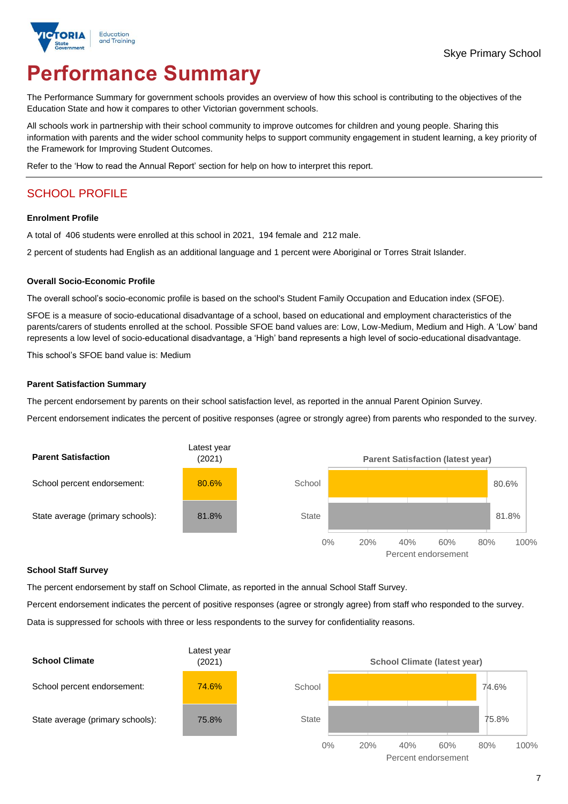

# **Performance Summary**

The Performance Summary for government schools provides an overview of how this school is contributing to the objectives of the Education State and how it compares to other Victorian government schools.

All schools work in partnership with their school community to improve outcomes for children and young people. Sharing this information with parents and the wider school community helps to support community engagement in student learning, a key priority of the Framework for Improving Student Outcomes.

Refer to the 'How to read the Annual Report' section for help on how to interpret this report.

# SCHOOL PROFILE

#### **Enrolment Profile**

A total of 406 students were enrolled at this school in 2021, 194 female and 212 male.

2 percent of students had English as an additional language and 1 percent were Aboriginal or Torres Strait Islander.

#### **Overall Socio-Economic Profile**

The overall school's socio-economic profile is based on the school's Student Family Occupation and Education index (SFOE).

SFOE is a measure of socio-educational disadvantage of a school, based on educational and employment characteristics of the parents/carers of students enrolled at the school. Possible SFOE band values are: Low, Low-Medium, Medium and High. A 'Low' band represents a low level of socio-educational disadvantage, a 'High' band represents a high level of socio-educational disadvantage.

This school's SFOE band value is: Medium

### **Parent Satisfaction Summary**

The percent endorsement by parents on their school satisfaction level, as reported in the annual Parent Opinion Survey.

Percent endorsement indicates the percent of positive responses (agree or strongly agree) from parents who responded to the survey.



### **School Staff Survey**

The percent endorsement by staff on School Climate, as reported in the annual School Staff Survey.

Percent endorsement indicates the percent of positive responses (agree or strongly agree) from staff who responded to the survey. Data is suppressed for schools with three or less respondents to the survey for confidentiality reasons.

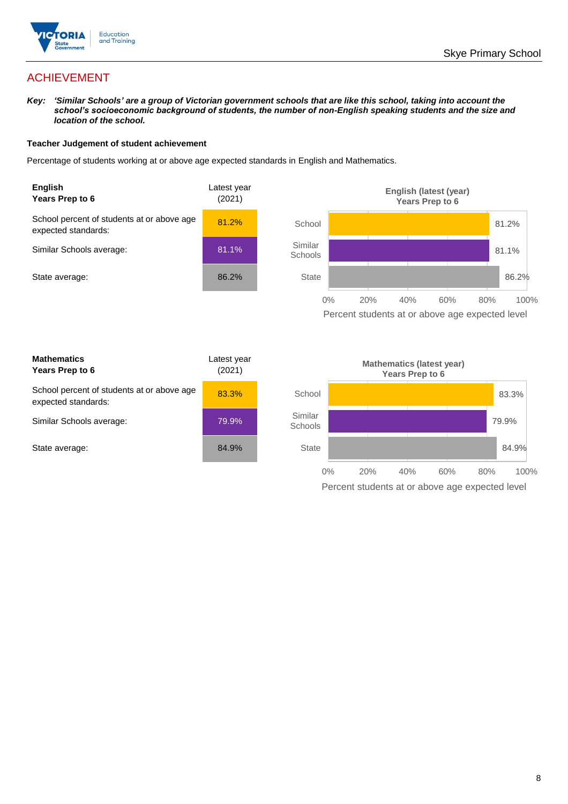

# ACHIEVEMENT

*Key: 'Similar Schools' are a group of Victorian government schools that are like this school, taking into account the school's socioeconomic background of students, the number of non-English speaking students and the size and location of the school.*

### **Teacher Judgement of student achievement**

Percentage of students working at or above age expected standards in English and Mathematics.



Percent students at or above age expected level

| <b>Mathematics</b><br>Years Prep to 6                             | Latest year<br>(2021) |
|-------------------------------------------------------------------|-----------------------|
| School percent of students at or above age<br>expected standards: | 83.3%                 |
| Similar Schools average:                                          | 79.9%                 |
| State average:                                                    | 84.9%                 |

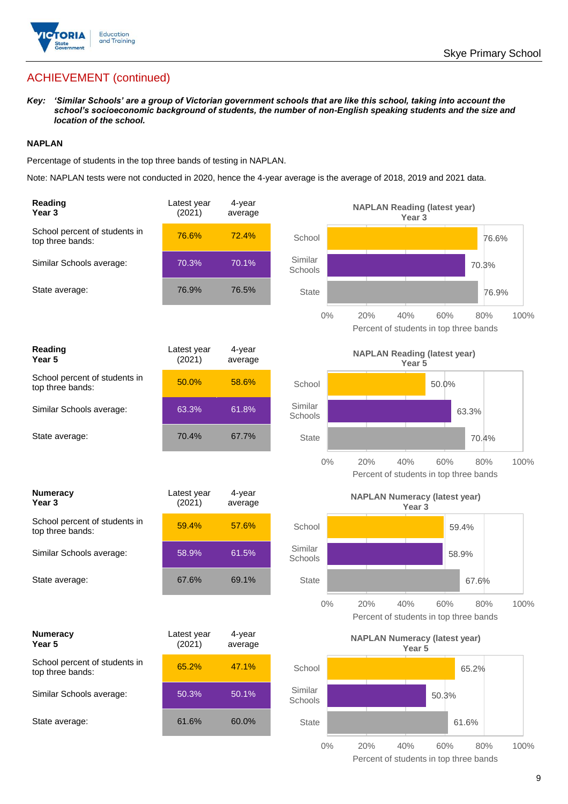

# ACHIEVEMENT (continued)

*Key: 'Similar Schools' are a group of Victorian government schools that are like this school, taking into account the school's socioeconomic background of students, the number of non-English speaking students and the size and location of the school.*

## **NAPLAN**

Percentage of students in the top three bands of testing in NAPLAN.

Note: NAPLAN tests were not conducted in 2020, hence the 4-year average is the average of 2018, 2019 and 2021 data.

| Reading<br>Year <sub>3</sub>                      | Latest year<br>(2021) | 4-year<br>average |                    | <b>NAPLAN Reading (latest year)</b><br>Year <sub>3</sub>                   |
|---------------------------------------------------|-----------------------|-------------------|--------------------|----------------------------------------------------------------------------|
| School percent of students in<br>top three bands: | 76.6%                 | 72.4%             | School             | 76.6%                                                                      |
| Similar Schools average:                          | 70.3%                 | 70.1%             | Similar<br>Schools | 70.3%                                                                      |
| State average:                                    | 76.9%                 | 76.5%             | <b>State</b>       | 76.9%                                                                      |
|                                                   |                       |                   | $0\%$              | 20%<br>40%<br>60%<br>100%<br>80%<br>Percent of students in top three bands |
| Reading<br>Year <sub>5</sub>                      | Latest year<br>(2021) | 4-year<br>average |                    | <b>NAPLAN Reading (latest year)</b><br>Year 5                              |
| School percent of students in<br>top three bands: | 50.0%                 | 58.6%             | School             | 50.0%                                                                      |
| Similar Schools average:                          | 63.3%                 | 61.8%             | Similar<br>Schools | 63.3%                                                                      |
| State average:                                    | 70.4%                 | 67.7%             | <b>State</b>       | 70.4%                                                                      |
|                                                   |                       |                   | $0\%$              | 20%<br>40%<br>60%<br>80%<br>100%<br>Percent of students in top three bands |
|                                                   |                       |                   |                    |                                                                            |
| <b>Numeracy</b><br>Year <sub>3</sub>              | Latest year<br>(2021) | 4-year<br>average |                    | <b>NAPLAN Numeracy (latest year)</b><br>Year <sub>3</sub>                  |
| School percent of students in<br>top three bands: | 59.4%                 | 57.6%             | School             | 59.4%                                                                      |
| Similar Schools average:                          | 58.9%                 | 61.5%             | Similar<br>Schools | 58.9%                                                                      |
| State average:                                    | 67.6%                 | 69.1%             | <b>State</b>       | 67.6%                                                                      |
|                                                   |                       |                   | $0\%$              | 20%<br>40%<br>60%<br>80%<br>100%<br>Percent of students in top three bands |
| <b>Numeracy</b><br>Year 5                         | Latest year<br>(2021) | 4-year<br>average |                    | <b>NAPLAN Numeracy (latest year)</b><br>Year 5                             |
| School percent of students in<br>top three bands: | 65.2%                 | 47.1%             | School             | 65.2%                                                                      |
| Similar Schools average:                          | 50.3%                 | 50.1%             | Similar<br>Schools | 50.3%                                                                      |
| State average:                                    | 61.6%                 | 60.0%             | State              | 61.6%                                                                      |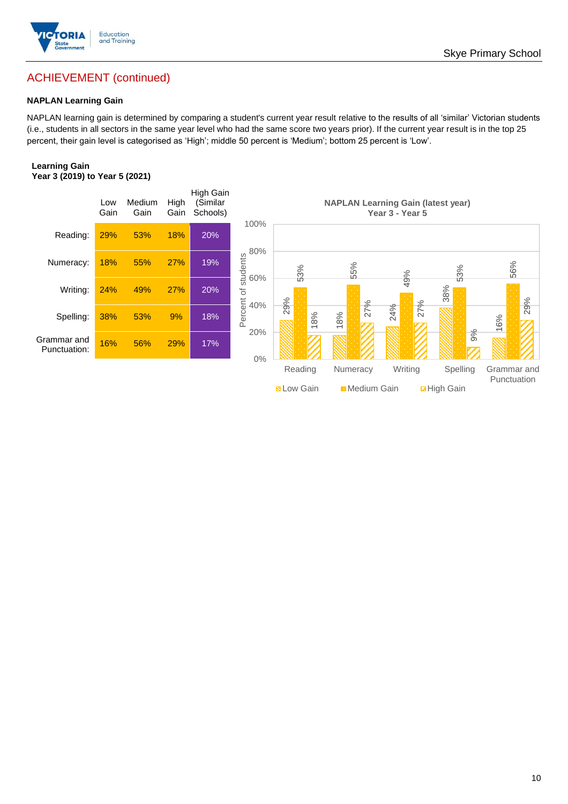

# ACHIEVEMENT (continued)

## **NAPLAN Learning Gain**

NAPLAN learning gain is determined by comparing a student's current year result relative to the results of all 'similar' Victorian students (i.e., students in all sectors in the same year level who had the same score two years prior). If the current year result is in the top 25 percent, their gain level is categorised as 'High'; middle 50 percent is 'Medium'; bottom 25 percent is 'Low'.

### **Learning Gain Year 3 (2019) to Year 5 (2021)**



**BLow Gain** Medium Gain **Example 10** 

Skye Primary School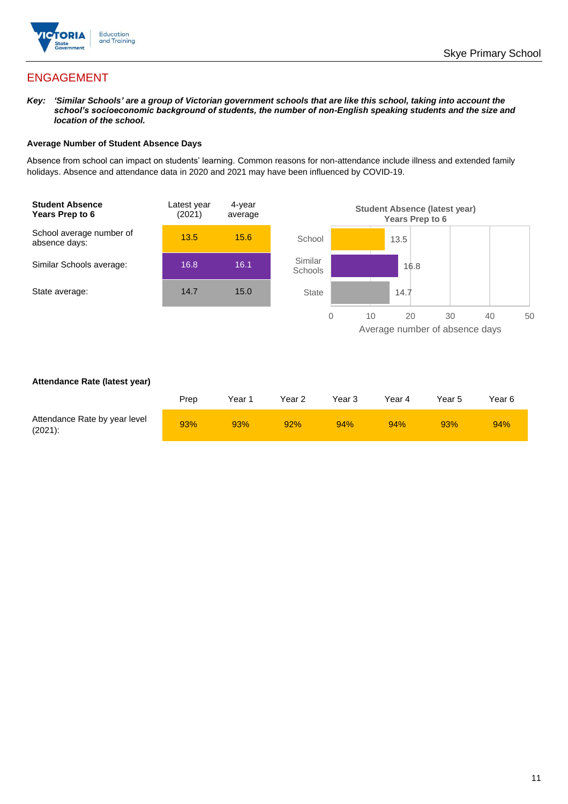

# ENGAGEMENT

*Key: 'Similar Schools' are a group of Victorian government schools that are like this school, taking into account the school's socioeconomic background of students, the number of non-English speaking students and the size and location of the school.*

### **Average Number of Student Absence Days**

Absence from school can impact on students' learning. Common reasons for non-attendance include illness and extended family holidays. Absence and attendance data in 2020 and 2021 may have been influenced by COVID-19.



## **Attendance Rate (latest year)**

|                                             | Prep | Year 1 | Year 2 | Year 3 | Year 4 | Year 5 | Year 6 |
|---------------------------------------------|------|--------|--------|--------|--------|--------|--------|
| Attendance Rate by year level<br>$(2021)$ : | 93%  | 93%    | 92%    | 94%    | 94%    | 93%    | 94%    |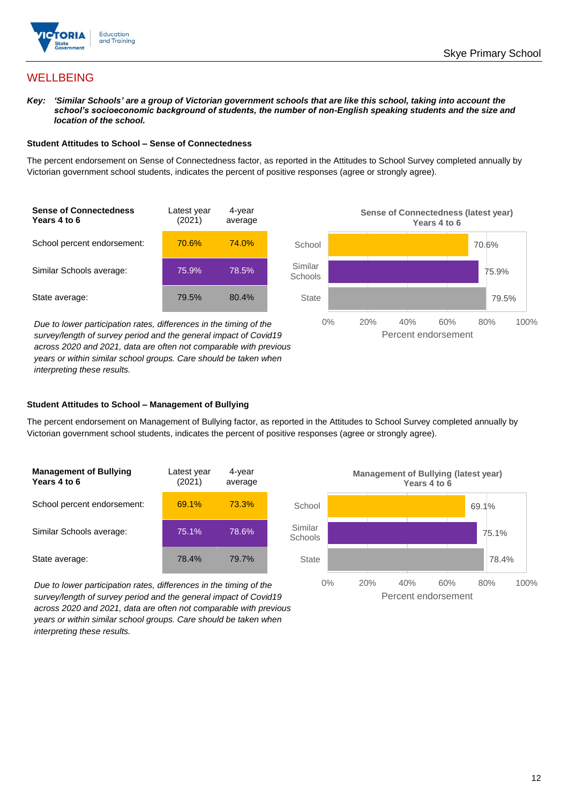

## **WELLBEING**

*Key: 'Similar Schools' are a group of Victorian government schools that are like this school, taking into account the school's socioeconomic background of students, the number of non-English speaking students and the size and location of the school.*

#### **Student Attitudes to School – Sense of Connectedness**

The percent endorsement on Sense of Connectedness factor, as reported in the Attitudes to School Survey completed annually by Victorian government school students, indicates the percent of positive responses (agree or strongly agree).

| <b>Sense of Connectedness</b><br>Years 4 to 6 | Latest year<br>(2021) | 4-year<br>average |  |
|-----------------------------------------------|-----------------------|-------------------|--|
| School percent endorsement:                   | 70.6%                 | 74.0%             |  |
| Similar Schools average:                      | 75.9%                 | 78.5%             |  |
| State average:                                | 79.5%                 | 80.4%             |  |

*Due to lower participation rates, differences in the timing of the survey/length of survey period and the general impact of Covid19 across 2020 and 2021, data are often not comparable with previous years or within similar school groups. Care should be taken when interpreting these results.*



## **Student Attitudes to School – Management of Bullying**

The percent endorsement on Management of Bullying factor, as reported in the Attitudes to School Survey completed annually by Victorian government school students, indicates the percent of positive responses (agree or strongly agree).

| <b>Management of Bullying</b><br>Years 4 to 6 | Latest year<br>(2021) | 4-year<br>average |  |
|-----------------------------------------------|-----------------------|-------------------|--|
| School percent endorsement:                   | 69.1%                 | 73.3%             |  |
| Similar Schools average:                      | 75.1%                 | 78.6%             |  |
| State average:                                | 78.4%                 | 79.7%             |  |

*Due to lower participation rates, differences in the timing of the survey/length of survey period and the general impact of Covid19 across 2020 and 2021, data are often not comparable with previous years or within similar school groups. Care should be taken when interpreting these results.*

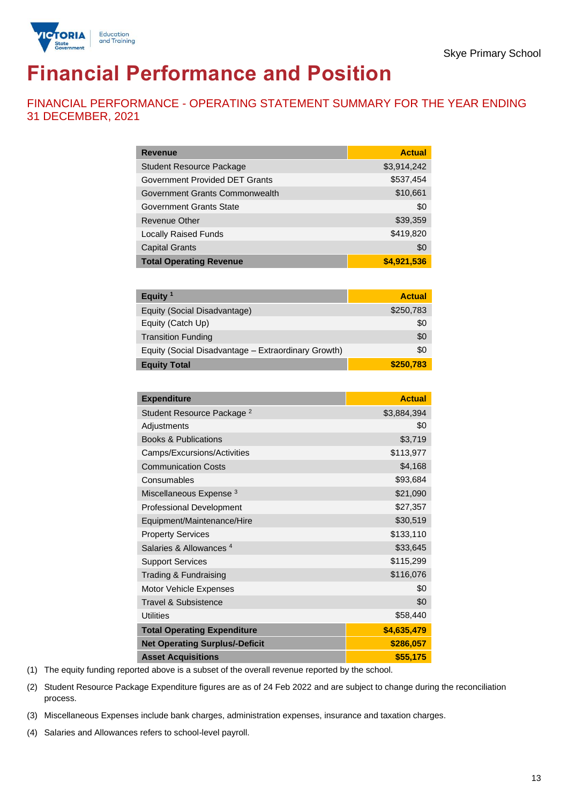

# **Financial Performance and Position**

FINANCIAL PERFORMANCE - OPERATING STATEMENT SUMMARY FOR THE YEAR ENDING 31 DECEMBER, 2021

| <b>Revenue</b>                        | <b>Actual</b> |
|---------------------------------------|---------------|
| <b>Student Resource Package</b>       | \$3,914,242   |
| <b>Government Provided DET Grants</b> | \$537,454     |
| Government Grants Commonwealth        | \$10,661      |
| Government Grants State               | \$0           |
| <b>Revenue Other</b>                  | \$39,359      |
| <b>Locally Raised Funds</b>           | \$419,820     |
| <b>Capital Grants</b>                 | \$0           |
| <b>Total Operating Revenue</b>        | \$4,921,536   |

| Equity $1$                                          | <b>Actual</b> |
|-----------------------------------------------------|---------------|
| Equity (Social Disadvantage)                        | \$250,783     |
| Equity (Catch Up)                                   | \$0           |
| <b>Transition Funding</b>                           | \$0           |
| Equity (Social Disadvantage - Extraordinary Growth) | \$0           |
| <b>Equity Total</b>                                 | \$250,783     |

| <b>Expenditure</b>                    | <b>Actual</b> |
|---------------------------------------|---------------|
| Student Resource Package <sup>2</sup> | \$3,884,394   |
| Adjustments                           | \$0           |
| <b>Books &amp; Publications</b>       | \$3,719       |
| Camps/Excursions/Activities           | \$113,977     |
| <b>Communication Costs</b>            | \$4,168       |
| Consumables                           | \$93,684      |
| Miscellaneous Expense <sup>3</sup>    | \$21,090      |
| <b>Professional Development</b>       | \$27,357      |
| Equipment/Maintenance/Hire            | \$30,519      |
| <b>Property Services</b>              | \$133,110     |
| Salaries & Allowances <sup>4</sup>    | \$33,645      |
| <b>Support Services</b>               | \$115,299     |
| Trading & Fundraising                 | \$116,076     |
| Motor Vehicle Expenses                | \$0           |
| Travel & Subsistence                  | \$0           |
| <b>Utilities</b>                      | \$58,440      |
| <b>Total Operating Expenditure</b>    | \$4,635,479   |
| <b>Net Operating Surplus/-Deficit</b> | \$286,057     |
| <b>Asset Acquisitions</b>             | \$55,175      |

(1) The equity funding reported above is a subset of the overall revenue reported by the school.

(2) Student Resource Package Expenditure figures are as of 24 Feb 2022 and are subject to change during the reconciliation process.

(3) Miscellaneous Expenses include bank charges, administration expenses, insurance and taxation charges.

(4) Salaries and Allowances refers to school-level payroll.